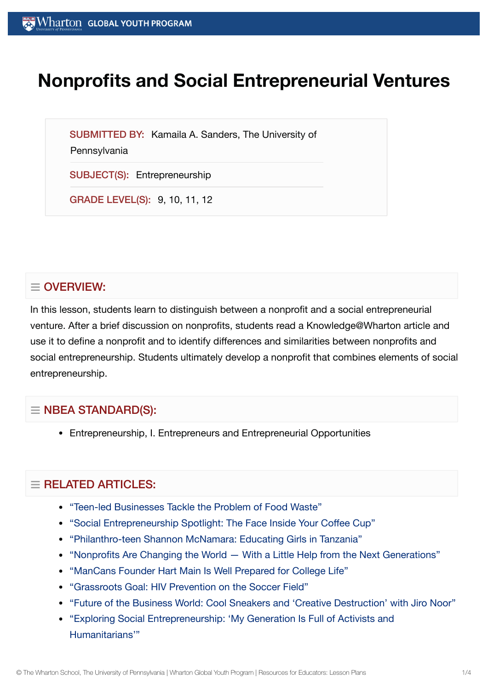# **Nonprofits and Social Entrepreneurial Ventures**

SUBMITTED BY: Kamaila A. Sanders, The University of

**Pennsylvania** 

SUBJECT(S): Entrepreneurship

GRADE LEVEL(S): 9, 10, 11, 12

## $\equiv$  OVERVIEW:

In this lesson, students learn to distinguish between a nonprofit and a social entrepreneurial venture. After a brief discussion on nonprofits, students read a Knowledge@Wharton article and use it to define a nonprofit and to identify differences and similarities between nonprofits and social entrepreneurship. Students ultimately develop a nonprofit that combines elements of social entrepreneurship.

## $\equiv$  NBEA STANDARD(S):

Entrepreneurship, I. Entrepreneurs and Entrepreneurial Opportunities

## $=$  RELATED ARTICLES:

- "Teen-led [Businesses Tackle](https://globalyouth.wharton.upenn.edu/articles/teen-businesses-tackle-food-waste/) the Problem of Food Waste"
- "Social [Entrepreneurship](https://globalyouth.wharton.upenn.edu/articles/social-entrepreneurship-spotlight-the-face-inside-your-coffee-cup/) Spotlight: The Face Inside Your Coffee Cup"
- ["Philanthro-teen](https://globalyouth.wharton.upenn.edu/articles/philanthro-teen-shannon-mcnamara-educating-girls-in-tanzania/) Shannon McNamara: Educating Girls in Tanzania"
- ["Nonprofits Are](https://globalyouth.wharton.upenn.edu/articles/nonprofits-are-changing-the-world-with-a-little-help-from-millennials-you/) Changing the World With a Little Help from the Next Generations"
- ["ManCans Founder](https://globalyouth.wharton.upenn.edu/articles/hart-main-is-prepared-for-college-life/) Hart Main Is Well Prepared for College Life"
- ["Grassroots Goal:](https://globalyouth.wharton.upenn.edu/articles/grassroots-goal-hiv-prevention-on-the-soccer-field/) HIV Prevention on the Soccer Field"
- "Future of the [Business World:](https://globalyouth.wharton.upenn.edu/articles/cool-sneakers-creative-destruction-with-jiro-noor/) Cool Sneakers and 'Creative Destruction' with Jiro Noor"
- "Exploring Social [Entrepreneurship:](https://globalyouth.wharton.upenn.edu/articles/power-social-entrepreneurship/) 'My Generation Is Full of Activists and Humanitarians'"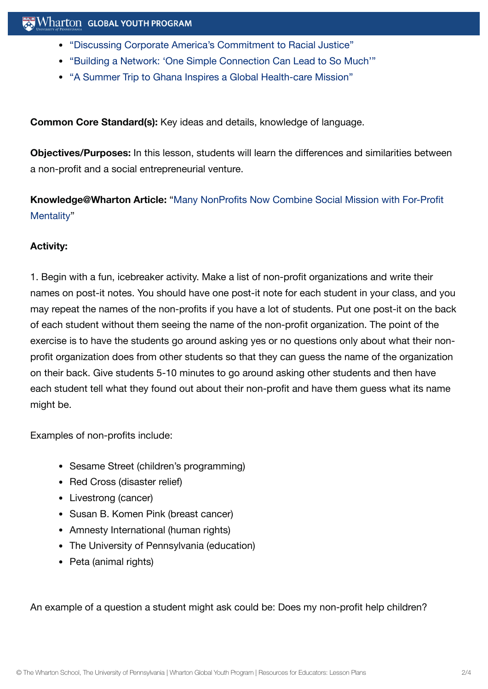- "Discussing Corporate [America's Commitment](https://globalyouth.wharton.upenn.edu/articles/discussing-corporate-americas-commitment-racial-justice/) to Racial Justice"
- "Building a Network: 'One Simple [Connection](https://globalyouth.wharton.upenn.edu/articles/building-network-one-simple-connection-can-lead-much/) Can Lead to So Much'"
- "A Summer Trip to Ghana Inspires a Global [Health-care](https://globalyouth.wharton.upenn.edu/articles/a-summer-trip-to-ghana-inspires-a-global-health-care-mission/) Mission"

**Common Core Standard(s):** Key ideas and details, knowledge of language.

**Objectives/Purposes:** In this lesson, students will learn the differences and similarities between a non-profit and a social entrepreneurial venture.

**[Knowledge@Wharton](http://knowledge.wharton.upenn.edu/article.cfm?articleid=772) Article:** "Many NonProfits Now Combine Social Mission with For-Profit Mentality"

#### **Activity:**

1. Begin with a fun, icebreaker activity. Make a list of non-profit organizations and write their names on post-it notes. You should have one post-it note for each student in your class, and you may repeat the names of the non-profits if you have a lot of students. Put one post-it on the back of each student without them seeing the name of the non-profit organization. The point of the exercise is to have the students go around asking yes or no questions only about what their nonprofit organization does from other students so that they can guess the name of the organization on their back. Give students 5-10 minutes to go around asking other students and then have each student tell what they found out about their non-profit and have them guess what its name might be.

Examples of non-profits include:

- Sesame Street (children's programming)
- Red Cross (disaster relief)
- Livestrong (cancer)
- Susan B. Komen Pink (breast cancer)
- Amnesty International (human rights)
- The University of Pennsylvania (education)
- Peta (animal rights)

An example of a question a student might ask could be: Does my non-profit help children?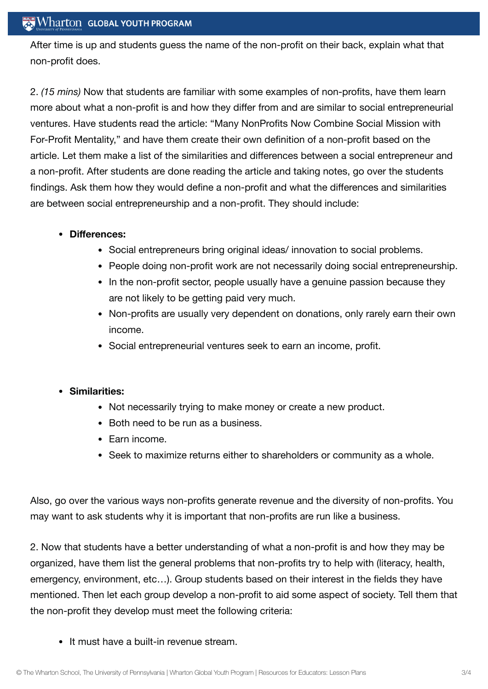#### $\mathbb{R}$  Wharton Global Youth Program

After time is up and students guess the name of the non-profit on their back, explain what that non-profit does.

2. *(15 mins)* Now that students are familiar with some examples of non-profits, have them learn more about what a non-profit is and how they differ from and are similar to social entrepreneurial ventures. Have students read the article: "Many NonProfits Now Combine Social Mission with For-Profit Mentality," and have them create their own definition of a non-profit based on the article. Let them make a list of the similarities and differences between a social entrepreneur and a non-profit. After students are done reading the article and taking notes, go over the students findings. Ask them how they would define a non-profit and what the differences and similarities are between social entrepreneurship and a non-profit. They should include:

#### **Differences:**

- Social entrepreneurs bring original ideas/ innovation to social problems.
- People doing non-profit work are not necessarily doing social entrepreneurship.
- In the non-profit sector, people usually have a genuine passion because they are not likely to be getting paid very much.
- Non-profits are usually very dependent on donations, only rarely earn their own income.
- Social entrepreneurial ventures seek to earn an income, profit.

#### **Similarities:**

- Not necessarily trying to make money or create a new product.
- Both need to be run as a business.
- $\bullet$  Farn income.
- Seek to maximize returns either to shareholders or community as a whole.

Also, go over the various ways non-profits generate revenue and the diversity of non-profits. You may want to ask students why it is important that non-profits are run like a business.

2. Now that students have a better understanding of what a non-profit is and how they may be organized, have them list the general problems that non-profits try to help with (literacy, health, emergency, environment, etc…). Group students based on their interest in the fields they have mentioned. Then let each group develop a non-profit to aid some aspect of society. Tell them that the non-profit they develop must meet the following criteria:

It must have a built-in revenue stream.